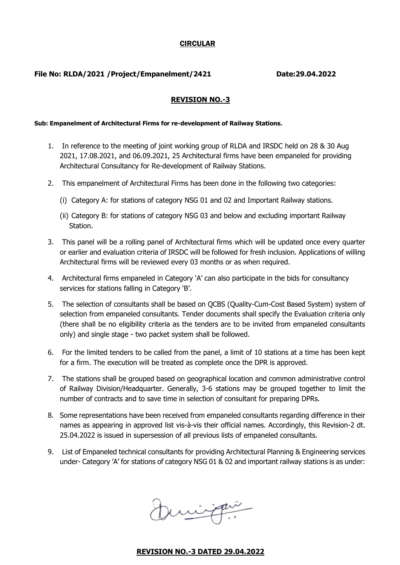#### CIRCULAR

#### **File No: RLDA/2021 /Project/Empanelment/2421 Date:29.04.2022**

### **REVISION NO.-3**

#### **Sub: Empanelment of Architectural Firms for re-development of Railway Stations.**

- 1. In reference to the meeting of joint working group of RLDA and IRSDC held on 28 & 30 Aug 2021, 17.08.2021, and 06.09.2021, 25 Architectural firms have been empaneled for providing Architectural Consultancy for Re-development of Railway Stations.
- 2. This empanelment of Architectural Firms has been done in the following two categories:
	- (i) Category A: for stations of category NSG 01 and 02 and Important Railway stations.
	- (ii) Category B: for stations of category NSG 03 and below and excluding important Railway Station.
- 3. This panel will be a rolling panel of Architectural firms which will be updated once every quarter or earlier and evaluation criteria of IRSDC will be followed for fresh inclusion. Applications of willing Architectural firms will be reviewed every 03 months or as when required.
- 4. Architectural firms empaneled in Category 'A' can also participate in the bids for consultancy services for stations falling in Category 'B'.
- 5. The selection of consultants shall be based on QCBS (Quality-Cum-Cost Based System) system of selection from empaneled consultants. Tender documents shall specify the Evaluation criteria only (there shall be no eligibility criteria as the tenders are to be invited from empaneled consultants only) and single stage - two packet system shall be followed.
- 6. For the limited tenders to be called from the panel, a limit of 10 stations at a time has been kept for a firm. The execution will be treated as complete once the DPR is approved.
- 7. The stations shall be grouped based on geographical location and common administrative control of Railway Division/Headquarter. Generally, 3-6 stations may be grouped together to limit the number of contracts and to save time in selection of consultant for preparing DPRs.
- 8. Some representations have been received from empaneled consultants regarding difference in their names as appearing in approved list vis-à-vis their official names. Accordingly, this Revision-2 dt. 25.04.2022 is issued in supersession of all previous lists of empaneled consultants.
- 9. List of Empaneled technical consultants for providing Architectural Planning & Engineering services under- Category 'A' for stations of category NSG 01 & 02 and important railway stations is as under:

Dirigan

### **REVISION NO.-3 DATED 29.04.2022**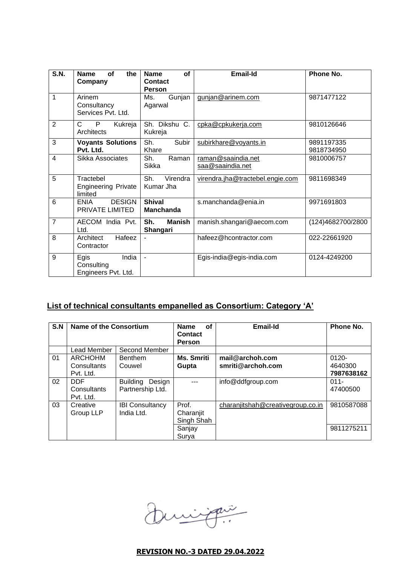| S.N.                    | the<br><b>Name</b><br>Οf<br>Company                | of<br><b>Name</b><br>Contact<br><b>Person</b> | <b>Email-Id</b>                        | Phone No.                |
|-------------------------|----------------------------------------------------|-----------------------------------------------|----------------------------------------|--------------------------|
| 1                       | Arinem<br>Consultancy<br>Services Pvt. Ltd.        | Gunjan<br>Ms.<br>Agarwal                      | gunjan@arinem.com                      | 9871477122               |
| $\overline{2}$          | C<br>P<br>Kukreja<br>Architects                    | Sh. Dikshu C.<br>Kukreja                      | cpka@cpkukerja.com                     | 9810126646               |
| 3                       | <b>Voyants Solutions</b><br>Pvt. Ltd.              | Sh.<br>Subir<br>Khare                         | subirkhare@voyants.in                  | 9891197335<br>9818734950 |
| $\overline{\mathbf{4}}$ | Sikka Associates                                   | Sh.<br>Raman<br>Sikka                         | raman@saaindia.net<br>saa@saaindia.net | 9810006757               |
| 5                       | Tractebel<br><b>Engineering Private</b><br>limited | Sh.<br>Virendra<br>Kumar Jha                  | virendra.jha@tractebel.engie.com       | 9811698349               |
| 6                       | <b>DESIGN</b><br><b>ENIA</b><br>PRIVATE LIMITED    | <b>Shival</b><br><b>Manchanda</b>             | s.manchanda@enia.in                    | 9971691803               |
| $\overline{7}$          | AECOM India Pvt.<br>Ltd.                           | Sh.<br><b>Manish</b><br>Shangari              | manish.shangari@aecom.com              | (124)4682700/2800        |
| 8                       | Hafeez<br>Architect<br>Contractor                  |                                               | hafeez@hcontractor.com                 | 022-22661920             |
| 9                       | Egis<br>India<br>Consulting<br>Engineers Pvt. Ltd. | $\blacksquare$                                | Egis-india@egis-india.com              | 0124-4249200             |

# **List of technical consultants empanelled as Consortium: Category 'A'**

| S.N | Name of the Consortium                 |                                               | <b>Name</b><br>οf<br><b>Contact</b><br><b>Person</b> | <b>Email-Id</b>                      | Phone No.                         |
|-----|----------------------------------------|-----------------------------------------------|------------------------------------------------------|--------------------------------------|-----------------------------------|
|     | Lead Member                            | Second Member                                 |                                                      |                                      |                                   |
| 01  | ARCHOHM<br>Consultants<br>Pvt. Ltd.    | <b>Benthem</b><br>Couwel                      | Ms. Smriti<br>Gupta                                  | mail@archoh.com<br>smriti@archoh.com | $0120 -$<br>4640300<br>7987638162 |
| 02  | <b>DDF</b><br>Consultants<br>Pvt. Ltd. | <b>Building</b><br>Design<br>Partnership Ltd. |                                                      | info@ddfgroup.com                    | $011 -$<br>47400500               |
| 03  | Creative<br>Group LLP                  | <b>IBI Consultancy</b><br>India Ltd.          | Prof.<br>Charanjit<br>Singh Shah<br>Sanjay<br>Surya  | charanjitshah@creativegroup.co.in    | 9810587088<br>9811275211          |

Duringen

# **REVISION NO.-3 DATED 29.04.2022**